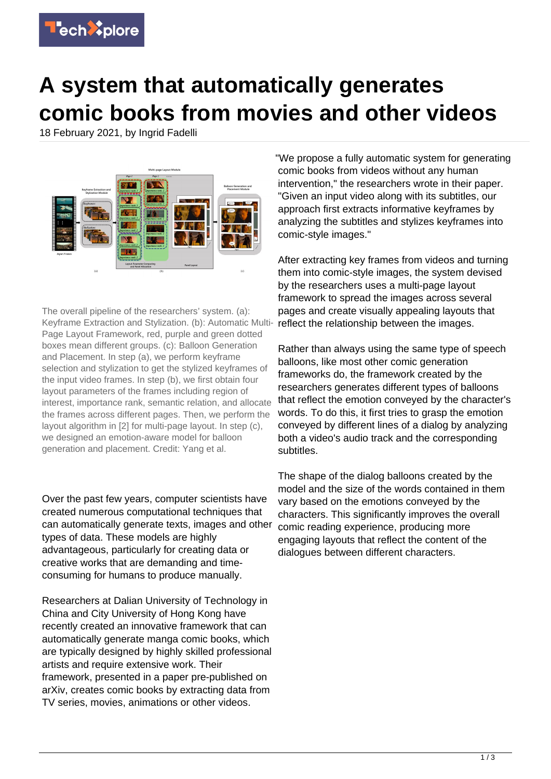

## **A system that automatically generates comic books from movies and other videos**

18 February 2021, by Ingrid Fadelli



The overall pipeline of the researchers' system. (a): Keyframe Extraction and Stylization. (b): Automatic Multi-Page Layout Framework, red, purple and green dotted boxes mean different groups. (c): Balloon Generation and Placement. In step (a), we perform keyframe selection and stylization to get the stylized keyframes of the input video frames. In step (b), we first obtain four layout parameters of the frames including region of interest, importance rank, semantic relation, and allocate the frames across different pages. Then, we perform the layout algorithm in [2] for multi-page layout. In step (c), we designed an emotion-aware model for balloon generation and placement. Credit: Yang et al.

Over the past few years, computer scientists have created numerous computational techniques that can automatically generate texts, images and other types of data. These models are highly advantageous, particularly for creating data or creative works that are demanding and timeconsuming for humans to produce manually.

Researchers at Dalian University of Technology in China and City University of Hong Kong have recently created an innovative framework that can automatically generate manga comic books, which are typically designed by highly skilled professional artists and require extensive work. Their framework, presented in a paper pre-published on arXiv, creates comic books by extracting data from TV series, movies, animations or other videos.

"We propose a fully automatic system for generating comic books from videos without any human intervention," the researchers wrote in their paper. "Given an input video along with its subtitles, our approach first extracts informative keyframes by analyzing the subtitles and stylizes keyframes into comic-style images."

After extracting key frames from videos and turning them into comic-style images, the system devised by the researchers uses a multi-page layout framework to spread the images across several pages and create visually appealing layouts that reflect the relationship between the images.

Rather than always using the same type of speech balloons, like most other comic generation frameworks do, the framework created by the researchers generates different types of balloons that reflect the emotion conveyed by the character's words. To do this, it first tries to grasp the emotion conveyed by different lines of a dialog by analyzing both a video's audio track and the corresponding subtitles.

The shape of the dialog balloons created by the model and the size of the words contained in them vary based on the emotions conveyed by the characters. This significantly improves the overall comic reading experience, producing more engaging layouts that reflect the content of the dialogues between different characters.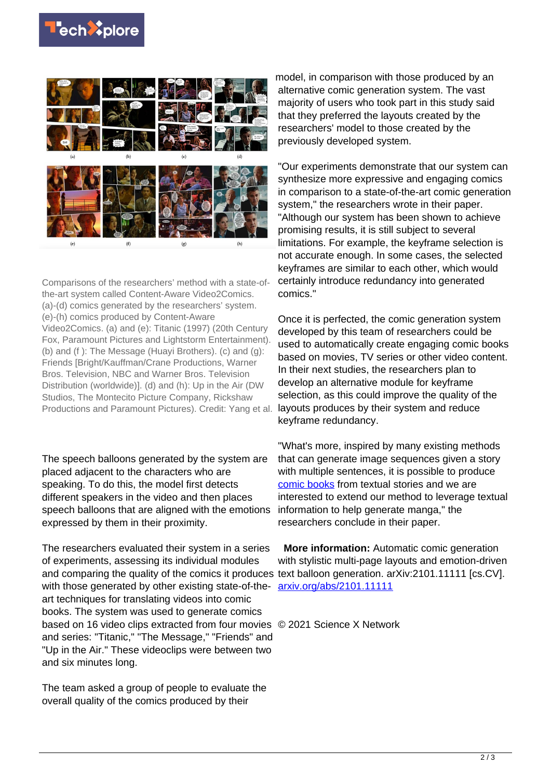



Comparisons of the researchers' method with a state-ofthe-art system called Content-Aware Video2Comics. (a)-(d) comics generated by the researchers' system. (e)-(h) comics produced by Content-Aware Video2Comics. (a) and (e): Titanic (1997) (20th Century Fox, Paramount Pictures and Lightstorm Entertainment). (b) and (f ): The Message (Huayi Brothers). (c) and (g): Friends [Bright/Kauffman/Crane Productions, Warner Bros. Television, NBC and Warner Bros. Television Distribution (worldwide)]. (d) and (h): Up in the Air (DW Studios, The Montecito Picture Company, Rickshaw Productions and Paramount Pictures). Credit: Yang et al.

The speech balloons generated by the system are placed adjacent to the characters who are speaking. To do this, the model first detects different speakers in the video and then places speech balloons that are aligned with the emotions expressed by them in their proximity.

The researchers evaluated their system in a series of experiments, assessing its individual modules and comparing the quality of the comics it produces text balloon generation. arXiv:2101.11111 [cs.CV]. with those generated by other existing state-of-theart techniques for translating videos into comic books. The system was used to generate comics based on 16 video clips extracted from four movies © 2021 Science X Network and series: "Titanic," "The Message," "Friends" and "Up in the Air." These videoclips were between two and six minutes long.

The team asked a group of people to evaluate the overall quality of the comics produced by their

model, in comparison with those produced by an alternative comic generation system. The vast majority of users who took part in this study said that they preferred the layouts created by the researchers' model to those created by the previously developed system.

"Our experiments demonstrate that our system can synthesize more expressive and engaging comics in comparison to a state-of-the-art comic generation system," the researchers wrote in their paper. "Although our system has been shown to achieve promising results, it is still subject to several limitations. For example, the keyframe selection is not accurate enough. In some cases, the selected keyframes are similar to each other, which would certainly introduce redundancy into generated comics."

Once it is perfected, the comic generation system developed by this team of researchers could be used to automatically create engaging comic books based on movies, TV series or other video content. In their next studies, the researchers plan to develop an alternative module for keyframe selection, as this could improve the quality of the layouts produces by their system and reduce keyframe redundancy.

"What's more, inspired by many existing methods that can generate image sequences given a story with multiple sentences, it is possible to produce [comic books](https://techxplore.com/tags/comic+books/) from textual stories and we are interested to extend our method to leverage textual information to help generate manga," the researchers conclude in their paper.

**More information:** Automatic comic generation with stylistic multi-page layouts and emotion-driven [arxiv.org/abs/2101.11111](https://arxiv.org/abs/2101.11111)